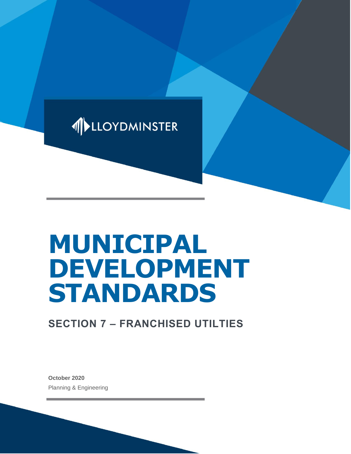

# **MUNICIPAL DEVELOPMENT STANDARDS**

# **SECTION 7 – FRANCHISED UTILTIES**

**October 2020** Planning & Engineering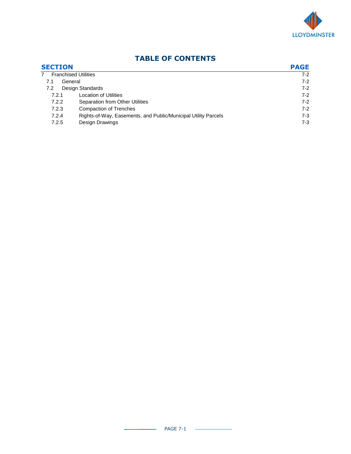

| <b>SECTION</b><br><b>Franchised Utilities</b><br>$7^{\circ}$ |                                                                | <b>PAGE</b> |
|--------------------------------------------------------------|----------------------------------------------------------------|-------------|
|                                                              |                                                                | $7-2$       |
| General<br>7.1                                               |                                                                | $7-2$       |
| 7.2                                                          | Design Standards                                               | $7-2$       |
| 7.2.1                                                        | <b>Location of Utilities</b>                                   | $7-2$       |
| 7.2.2                                                        | Separation from Other Utilities                                | $7-2$       |
| 7.2.3                                                        | <b>Compaction of Trenches</b>                                  | $7-2$       |
| 7.2.4                                                        | Rights-of-Way, Easements, and Public/Municipal Utility Parcels | $7 - 3$     |
| 7.2.5                                                        | <b>Design Drawings</b>                                         | $7-3$       |

## **TABLE OF CONTENTS**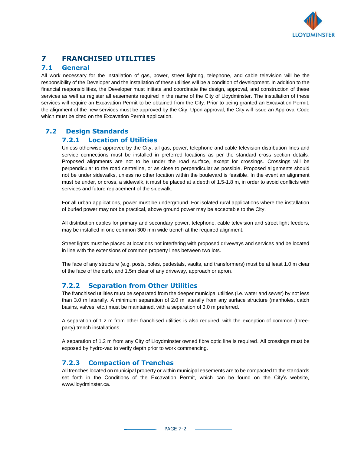

## **7 FRANCHISED UTILITIES**

#### **7.1 General**

All work necessary for the installation of gas, power, street lighting, telephone, and cable television will be the responsibility of the Developer and the installation of these utilities will be a condition of development. In addition to the financial responsibilities, the Developer must initiate and coordinate the design, approval, and construction of these services as well as register all easements required in the name of the City of Lloydminster. The installation of these services will require an Excavation Permit to be obtained from the City. Prior to being granted an Excavation Permit, the alignment of the new services must be approved by the City. Upon approval, the City will issue an Approval Code which must be cited on the Excavation Permit application.

### **7.2 Design Standards**

#### **7.2.1 Location of Utilities**

Unless otherwise approved by the City, all gas, power, telephone and cable television distribution lines and service connections must be installed in preferred locations as per the standard cross section details. Proposed alignments are not to be under the road surface, except for crossings. Crossings will be perpendicular to the road centreline, or as close to perpendicular as possible. Proposed alignments should not be under sidewalks, unless no other location within the boulevard is feasible. In the event an alignment must be under, or cross, a sidewalk, it must be placed at a depth of 1.5-1.8 m, in order to avoid conflicts with services and future replacement of the sidewalk.

For all urban applications, power must be underground. For isolated rural applications where the installation of buried power may not be practical, above ground power may be acceptable to the City.

All distribution cables for primary and secondary power, telephone, cable television and street light feeders, may be installed in one common 300 mm wide trench at the required alignment.

Street lights must be placed at locations not interfering with proposed driveways and services and be located in line with the extensions of common property lines between two lots.

The face of any structure (e.g. posts, poles, pedestals, vaults, and transformers) must be at least 1.0 m clear of the face of the curb, and 1.5m clear of any driveway, approach or apron.

#### **7.2.2 Separation from Other Utilities**

The franchised utilities must be separated from the deeper municipal utilities (i.e. water and sewer) by not less than 3.0 m laterally. A minimum separation of 2.0 m laterally from any surface structure (manholes, catch basins, valves, etc.) must be maintained, with a separation of 3.0 m preferred.

A separation of 1.2 m from other franchised utilities is also required, with the exception of common (threeparty) trench installations.

A separation of 1.2 m from any City of Lloydminster owned fibre optic line is required. All crossings must be exposed by hydro-vac to verify depth prior to work commencing.

#### **7.2.3 Compaction of Trenches**

All trenches located on municipal property or within municipal easements are to be compacted to the standards set forth in the Conditions of the Excavation Permit, which can be found on the City's website, www.lloydminster.ca.